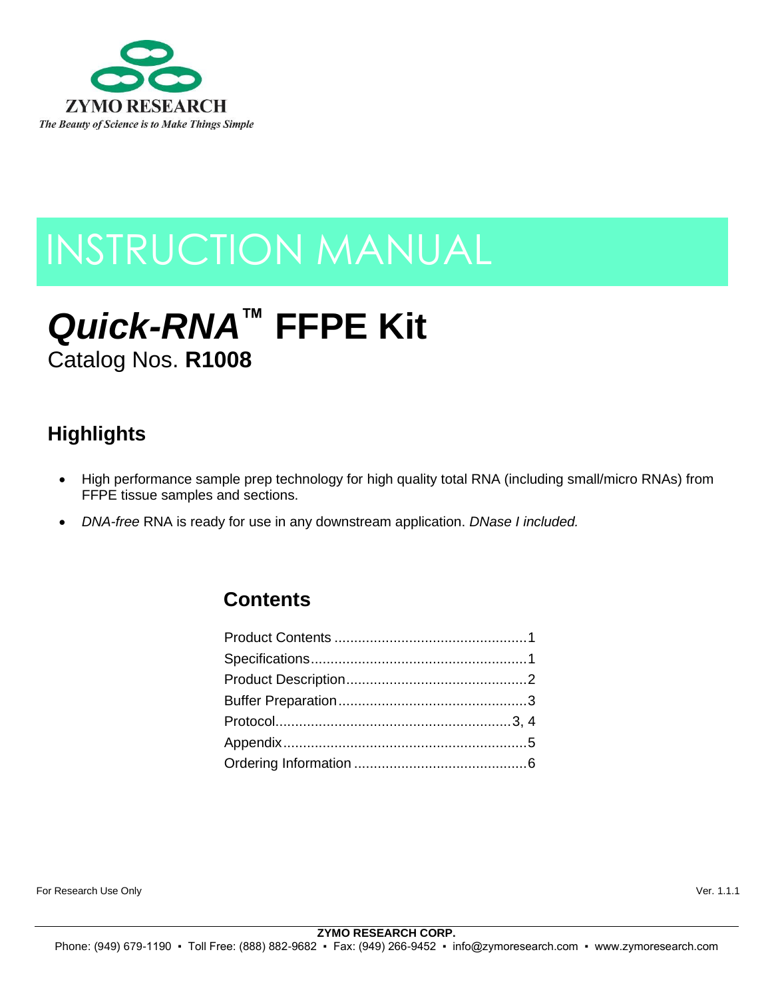

## INSTRUCTION MANUAL

# *Quick-RNA***™ FFPE Kit**

Catalog Nos. **R1008**

## **Highlights**

- High performance sample prep technology for high quality total RNA (including small/micro RNAs) from FFPE tissue samples and sections.
- *DNA-free* RNA is ready for use in any downstream application. *DNase I included.*

### **Contents**

For Research Use Only Ver. 1.1.1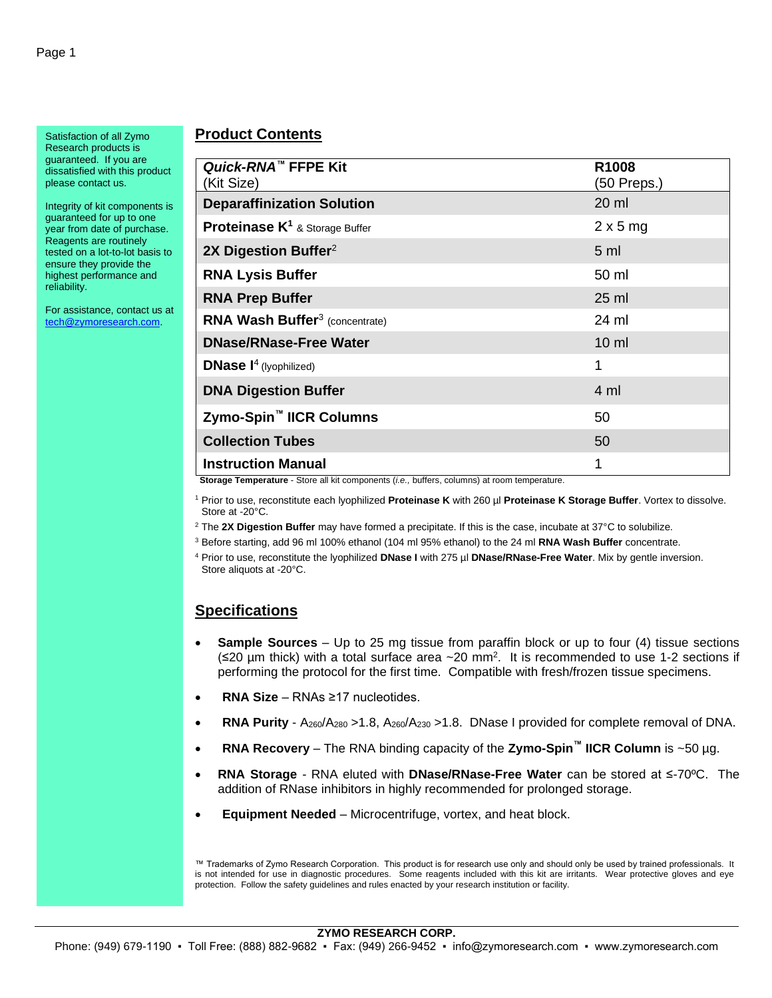Satisfaction of all Zymo Research products is guaranteed. If you are dissatisfied with this product please contact us.

Integrity of kit components is guaranteed for up to one year from date of purchase. Reagents are routinely tested on a lot-to-lot basis to ensure they provide the highest performance and reliability.

For assistance, contact us at [tech@zymoresearch.com.](mailto:tech@zymoresearch.com)

#### **Product Contents**

| Quick-RNA™ FFPE Kit<br>(Kit Size)                    | R1008<br>$(50$ Preps.) |
|------------------------------------------------------|------------------------|
| <b>Deparaffinization Solution</b>                    | 20 ml                  |
| <b>Proteinase K<sup>1</sup> &amp; Storage Buffer</b> | $2 \times 5$ mg        |
| 2X Digestion Buffer <sup>2</sup>                     | 5 <sub>ml</sub>        |
| <b>RNA Lysis Buffer</b>                              | 50 ml                  |
| <b>RNA Prep Buffer</b>                               | $25$ ml                |
| <b>RNA Wash Buffer<sup>3</sup></b> (concentrate)     | 24 ml                  |
| <b>DNase/RNase-Free Water</b>                        | $10 \mathrm{m}$        |
| <b>DNase <math>I^4</math></b> (lyophilized)          | 1                      |
| <b>DNA Digestion Buffer</b>                          | 4 ml                   |
| Zymo-Spin <sup>™</sup> IICR Columns                  | 50                     |
| <b>Collection Tubes</b>                              | 50                     |
| <b>Instruction Manual</b>                            |                        |

**Storage Temperature** - Store all kit components (*i.e.,* buffers, columns) at room temperature.

<sup>1</sup> Prior to use, reconstitute each lyophilized **Proteinase K** with 260 µl **Proteinase K Storage Buffer**. Vortex to dissolve. Store at -20°C.

<sup>2</sup> The **2X Digestion Buffer** may have formed a precipitate. If this is the case, incubate at 37°C to solubilize.

<sup>3</sup> Before starting, add 96 ml 100% ethanol (104 ml 95% ethanol) to the 24 ml **RNA Wash Buffer** concentrate.

<sup>4</sup> Prior to use, reconstitute the lyophilized **DNase I** with 275 µl **DNase/RNase-Free Water**. Mix by gentle inversion. Store aliquots at -20°C.

#### **Specifications**

- **Sample Sources** Up to 25 mg tissue from paraffin block or up to four (4) tissue sections (≤20 μm thick) with a total surface area  $\sim$  20 mm<sup>2</sup>. It is recommended to use 1-2 sections if performing the protocol for the first time. Compatible with fresh/frozen tissue specimens.
- **RNA Size**  RNAs ≥17 nucleotides.
- **RNA Purity** A<sub>260</sub>/A<sub>280</sub> > 1.8, A<sub>260</sub>/A<sub>230</sub> > 1.8. DNase I provided for complete removal of DNA.
- **RNA Recovery**  The RNA binding capacity of the **Zymo-Spin™ IICR Column** is ~50 µg.
- **RNA Storage**  RNA eluted with **DNase/RNase-Free Water** can be stored at ≤-70ºC. The addition of RNase inhibitors in highly recommended for prolonged storage.
- **Equipment Needed** Microcentrifuge, vortex, and heat block.

™ Trademarks of Zymo Research Corporation. This product is for research use only and should only be used by trained professionals. It is not intended for use in diagnostic procedures. Some reagents included with this kit are irritants. Wear protective gloves and eye protection. Follow the safety guidelines and rules enacted by your research institution or facility.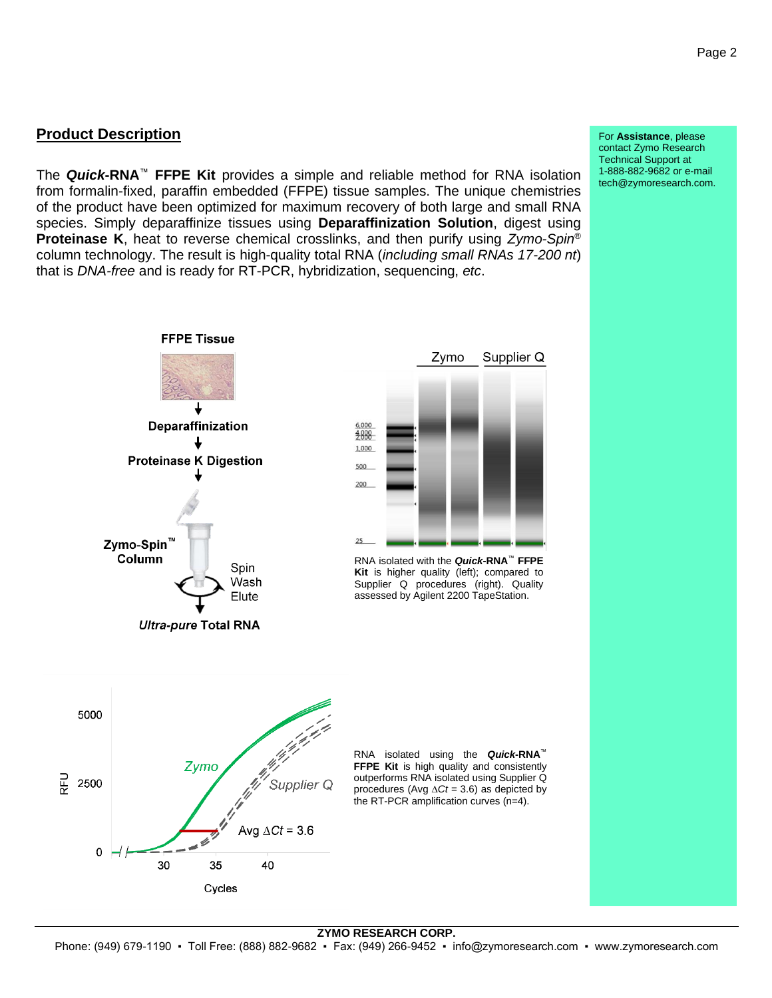#### **Product Description**

The *Quick***-RNA**™ **FFPE Kit** provides a simple and reliable method for RNA isolation from formalin-fixed, paraffin embedded (FFPE) tissue samples. The unique chemistries of the product have been optimized for maximum recovery of both large and small RNA species. Simply deparaffinize tissues using **Deparaffinization Solution**, digest using **Proteinase K**, heat to reverse chemical crosslinks, and then purify using *Zymo-Spin* ® column technology. The result is high-quality total RNA (*including small RNAs 17-200 nt*) that is *DNA-free* and is ready for RT-PCR, hybridization, sequencing, *etc*.



For **Assistance**, please contact Zymo Research Technical Support at 1-888-882-9682 or e-mail tech@zymoresearch.com.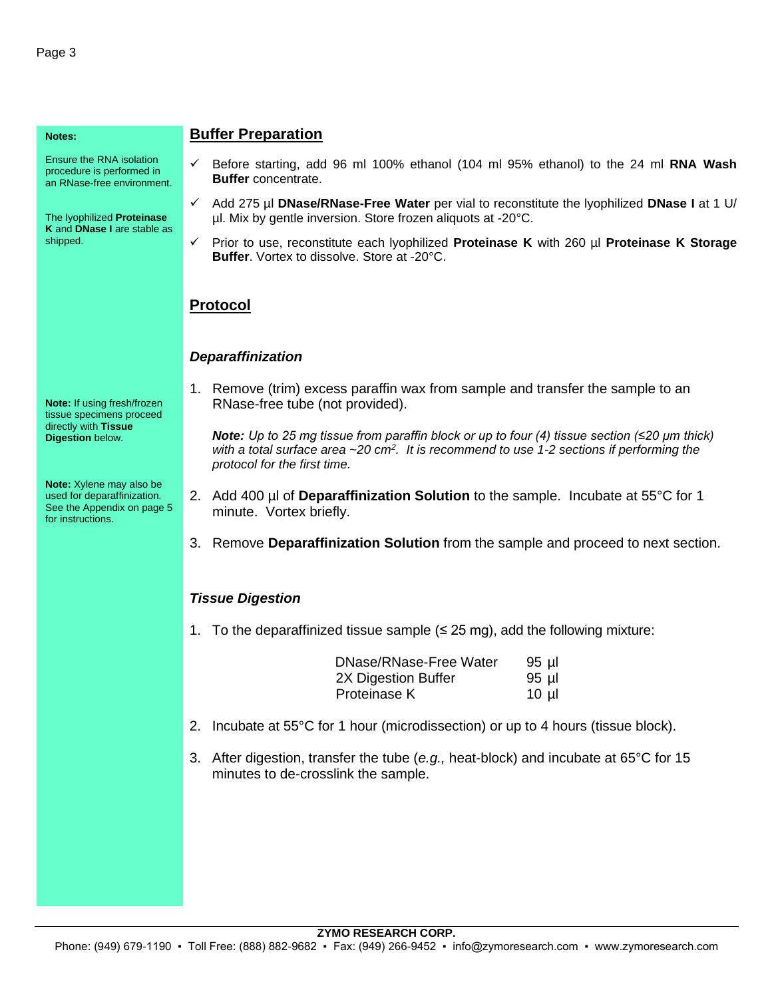#### **Notes:**

Ensure the RNA isolation procedure is performed in an RNase-free environment.

The lyophilized **Proteinase K** and **DNase I** are stable as shipped.

**Note:** If using fresh/frozen tissue specimens proceed directly with **Tissue Digestion** below.

**Note:** Xylene may also be used for deparaffinization. See the Appendix on page 5 for instructions.

#### **Buffer Preparation**

- ✓ Before starting, add 96 ml 100% ethanol (104 ml 95% ethanol) to the 24 ml **RNA Wash Buffer** concentrate.
- ✓ Add 275 µl **DNase/RNase-Free Water** per vial to reconstitute the lyophilized **DNase I** at 1 U/ µl. Mix by gentle inversion. Store frozen aliquots at -20°C.
- ✓ Prior to use, reconstitute each lyophilized **Proteinase K** with 260 µl **Proteinase K Storage Buffer**. Vortex to dissolve. Store at -20°C.

#### **Protocol**

#### *Deparaffinization*

1. Remove (trim) excess paraffin wax from sample and transfer the sample to an RNase-free tube (not provided).

*Note: Up to 25 mg tissue from paraffin block or up to four (4) tissue section (≤20 µm thick) with a total surface area ~20 cm<sup>2</sup> . It is recommend to use 1-2 sections if performing the protocol for the first time.*

- 2. Add 400 µl of **Deparaffinization Solution** to the sample. Incubate at 55°C for 1 minute. Vortex briefly.
- 3. Remove **Deparaffinization Solution** from the sample and proceed to next section.

#### *Tissue Digestion*

1. To the deparaffinized tissue sample  $(≤ 25 mg)$ , add the following mixture:

| DNase/RNase-Free Water | $95$ µ |
|------------------------|--------|
| 2X Digestion Buffer    | 95 µl  |
| Proteinase K           | 10 µl  |

- 2. Incubate at 55°C for 1 hour (microdissection) or up to 4 hours (tissue block).
- 3. After digestion, transfer the tube (*e.g.,* heat-block) and incubate at 65°C for 15 minutes to de-crosslink the sample.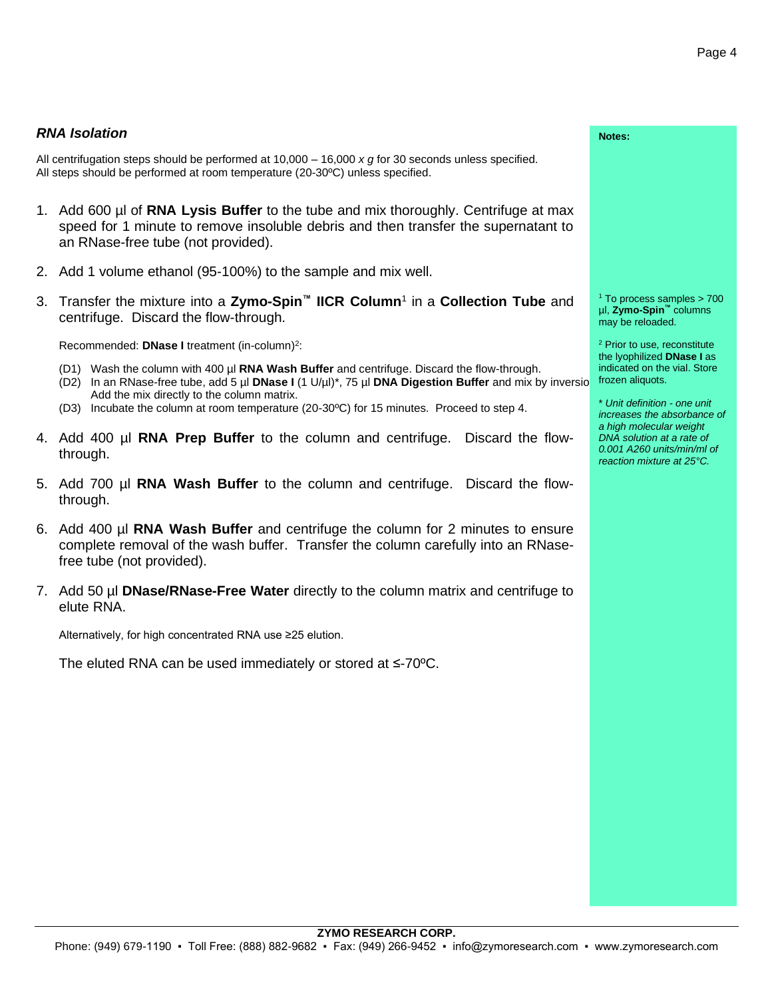#### *RNA Isolation*

All centrifugation steps should be performed at 10,000 – 16,000 *x g* for 30 seconds unless specified. All steps should be performed at room temperature (20-30ºC) unless specified.

- 1. Add 600 µl of **RNA Lysis Buffer** to the tube and mix thoroughly. Centrifuge at max speed for 1 minute to remove insoluble debris and then transfer the supernatant an RNase-free tube (not provided).
- 2. Add 1 volume ethanol (95-100%) to the sample and mix well.
- 3. Transfer the mixture into a **Zymo-Spin™ IICR Column**<sup>1</sup> in a **Collection Tube** and centrifuge. Discard the flow-through.

Recommended: **DNase I** treatment (in-column)<sup>2</sup>:

- (D1) Wash the column with 400 µl **RNA Wash Buffer** and centrifuge. Discard the flow-through.
- (D2) In an RNase-free tube, add 5 µl **DNase I** (1 U/µl)\*, 75 µl **DNA Digestion Buffer** and mix by inversion. Add the mix directly to the column matrix.
	- (D3) Incubate the column at room temperature (20-30ºC) for 15 minutes. Proceed to step 4.
- 4. Add 400 µl **RNA Prep Buffer** to the column and centrifuge. Discard the flowthrough.
- 5. Add 700 µl **RNA Wash Buffer** to the column and centrifuge. Discard the flowthrough.
- 6. Add 400 µl **RNA Wash Buffer** and centrifuge the column for 2 minutes to ensure complete removal of the wash buffer. Transfer the column carefully into an RNasefree tube (not provided).
- 7. Add 50 µl **DNase/RNase-Free Water** directly to the column matrix and centrifuge to elute RNA.

Alternatively, for high concentrated RNA use ≥25 elution.

The eluted RNA can be used immediately or stored at ≤-70ºC.

|          | Notes:                                                                                                                                                                         |
|----------|--------------------------------------------------------------------------------------------------------------------------------------------------------------------------------|
|          |                                                                                                                                                                                |
| ax<br>to |                                                                                                                                                                                |
|          |                                                                                                                                                                                |
| nd       | <sup>1</sup> To process samples $>$ 700<br>µl, Zymo-Spin <sup>™</sup> columns<br>may be reloaded.                                                                              |
| versio   | <sup>2</sup> Prior to use, reconstitute<br>the lyophilized DNase I as<br>indicated on the vial. Store<br>frozen aliquots.                                                      |
|          | * Unit definition - one unit<br>increases the absorbance of<br>a high molecular weight<br>DNA solution at a rate of<br>0.001 A260 units/min/ml of<br>reaction mixture at 25°C. |
|          |                                                                                                                                                                                |
| ıre      |                                                                                                                                                                                |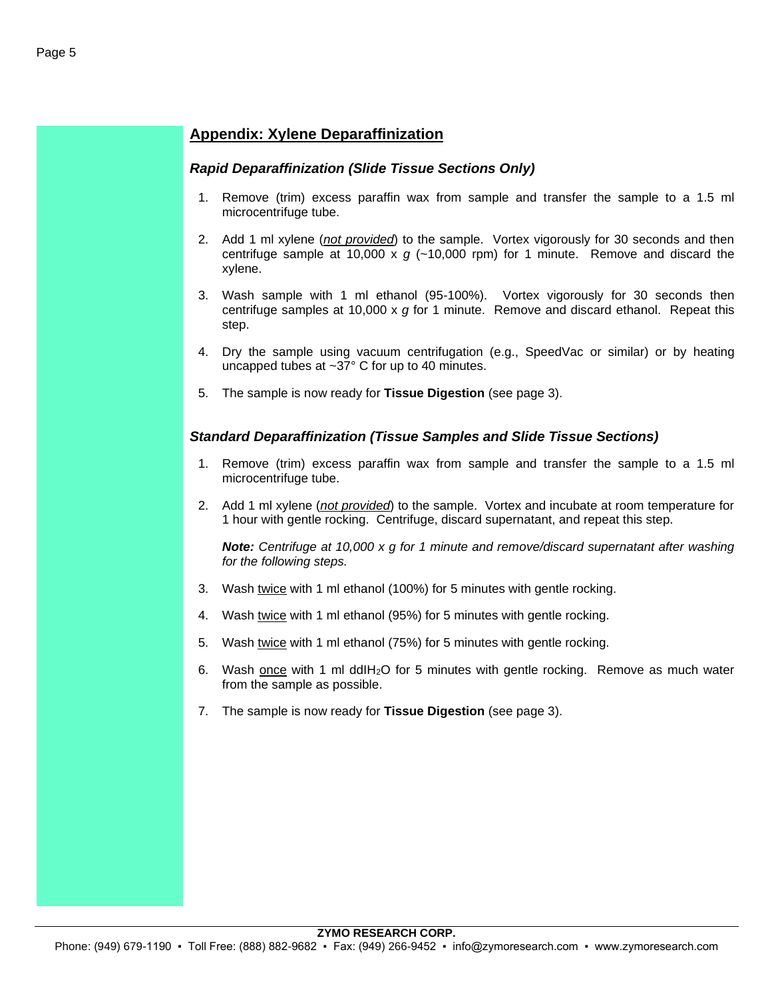#### **Appendix: Xylene Deparaffinization**

#### *Rapid Deparaffinization (Slide Tissue Sections Only)*

- 1. Remove (trim) excess paraffin wax from sample and transfer the sample to a 1.5 ml microcentrifuge tube.
- 2. Add 1 ml xylene (*not provided*) to the sample. Vortex vigorously for 30 seconds and then centrifuge sample at 10,000 x  $g$  ( $\sim$ 10,000 rpm) for 1 minute. Remove and discard the xylene.
- 3. Wash sample with 1 ml ethanol (95-100%). Vortex vigorously for 30 seconds then centrifuge samples at 10,000 x *g* for 1 minute. Remove and discard ethanol. Repeat this step.
- 4. Dry the sample using vacuum centrifugation (e.g., SpeedVac or similar) or by heating uncapped tubes at ~37° C for up to 40 minutes.
- 5. The sample is now ready for **Tissue Digestion** (see page 3).

#### *Standard Deparaffinization (Tissue Samples and Slide Tissue Sections)*

- 1. Remove (trim) excess paraffin wax from sample and transfer the sample to a 1.5 ml microcentrifuge tube.
- 2. Add 1 ml xylene (*not provided*) to the sample. Vortex and incubate at room temperature for 1 hour with gentle rocking. Centrifuge, discard supernatant, and repeat this step.

*Note: Centrifuge at 10,000 x g for 1 minute and remove/discard supernatant after washing for the following steps.*

- 3. Wash twice with 1 ml ethanol (100%) for 5 minutes with gentle rocking.
- 4. Wash twice with 1 ml ethanol (95%) for 5 minutes with gentle rocking.
- 5. Wash twice with 1 ml ethanol (75%) for 5 minutes with gentle rocking.
- 6. Wash once with 1 ml ddIH2O for 5 minutes with gentle rocking. Remove as much water from the sample as possible.
- 7. The sample is now ready for **Tissue Digestion** (see page 3).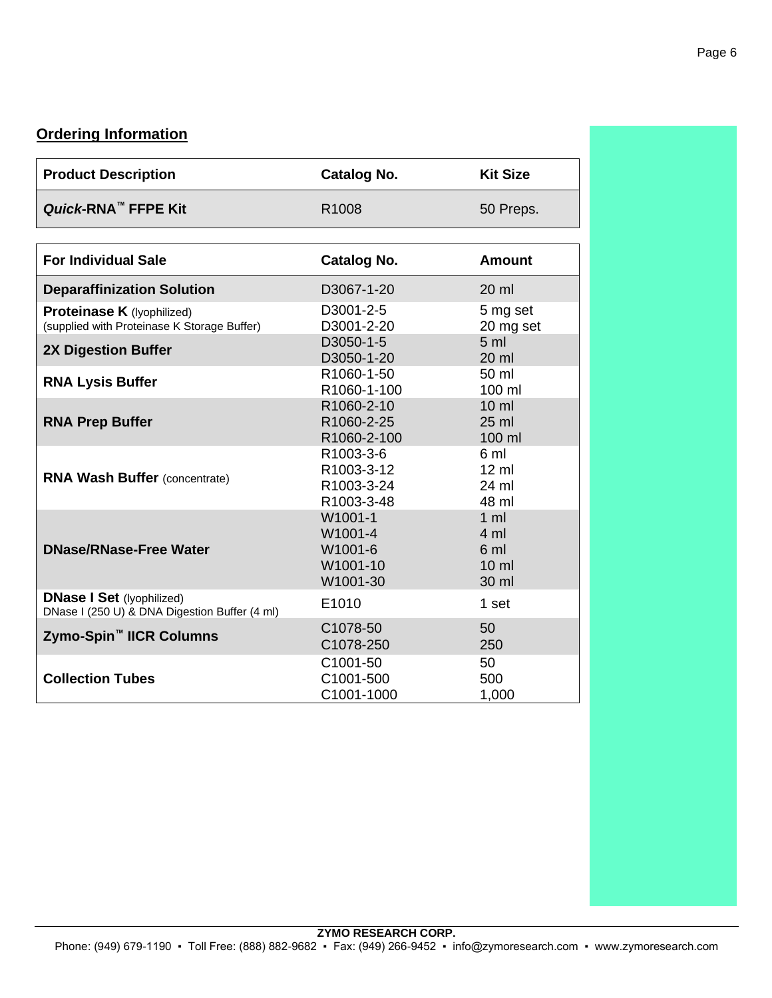#### **Ordering Information**

| <b>Product Description</b>                                                        | <b>Catalog No.</b>                                    | <b>Kit Size</b>                                                      |
|-----------------------------------------------------------------------------------|-------------------------------------------------------|----------------------------------------------------------------------|
| Quick-RNA <sup>™</sup> FFPE Kit                                                   | R1008                                                 | 50 Preps.                                                            |
|                                                                                   |                                                       |                                                                      |
| <b>For Individual Sale</b>                                                        | <b>Catalog No.</b>                                    | <b>Amount</b>                                                        |
| <b>Deparaffinization Solution</b>                                                 | D3067-1-20                                            | $20 \mathrm{m}$                                                      |
| Proteinase K (lyophilized)<br>(supplied with Proteinase K Storage Buffer)         | D3001-2-5<br>D3001-2-20                               | 5 mg set<br>20 mg set                                                |
| <b>2X Digestion Buffer</b>                                                        | D3050-1-5<br>D3050-1-20                               | 5 <sub>m</sub><br>20 ml                                              |
| <b>RNA Lysis Buffer</b>                                                           | R1060-1-50<br>R1060-1-100                             | 50 ml<br>100 ml                                                      |
| <b>RNA Prep Buffer</b>                                                            | R1060-2-10<br>R1060-2-25<br>R1060-2-100               | $10 \mathrm{m}$<br>25 ml<br>100 ml                                   |
| <b>RNA Wash Buffer (concentrate)</b>                                              | R1003-3-6<br>R1003-3-12<br>R1003-3-24<br>R1003-3-48   | 6 ml<br>$12 \text{ ml}$<br>24 ml<br>48 ml                            |
| <b>DNase/RNase-Free Water</b>                                                     | W1001-1<br>W1001-4<br>W1001-6<br>W1001-10<br>W1001-30 | $1 \text{ ml}$<br>$4 \text{ ml}$<br>6 ml<br>$10 \mathrm{m}$<br>30 ml |
| <b>DNase I Set (Iyophilized)</b><br>DNase I (250 U) & DNA Digestion Buffer (4 ml) | E1010                                                 | 1 set                                                                |
| Zymo-Spin <sup>™</sup> IICR Columns                                               | C1078-50<br>C1078-250                                 | 50<br>250                                                            |
| <b>Collection Tubes</b>                                                           | C1001-50<br>C1001-500<br>C1001-1000                   | 50<br>500<br>1,000                                                   |